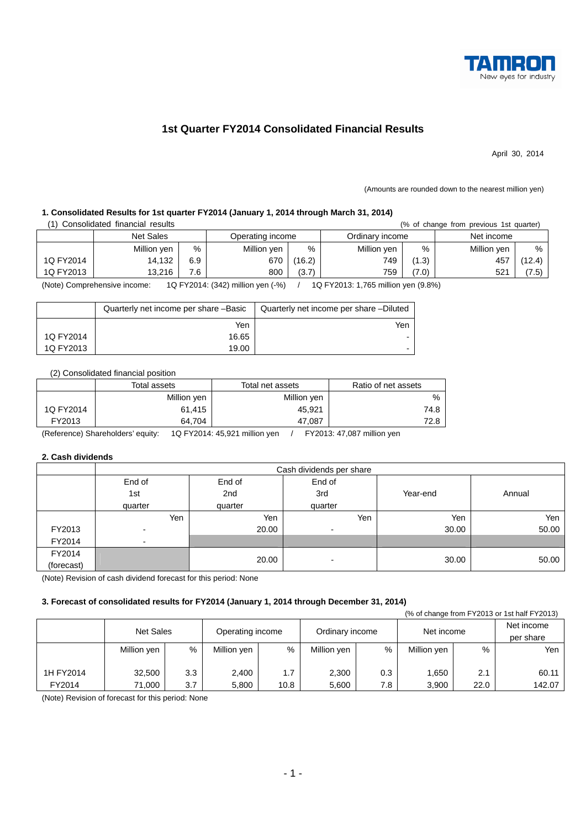

# **1st Quarter FY2014 Consolidated Financial Results**

April 30, 2014

(Amounts are rounded down to the nearest million yen)

### **1. Consolidated Results for 1st quarter FY2014 (January 1, 2014 through March 31, 2014)**

|  | (1) Consolidated financial results |  |
|--|------------------------------------|--|
|  |                                    |  |

| (1) Consolidated financial results<br>(% of change from previous 1st quarter) |             |     |                                 |        |                 |                   |             |        |  |
|-------------------------------------------------------------------------------|-------------|-----|---------------------------------|--------|-----------------|-------------------|-------------|--------|--|
|                                                                               | Net Sales   |     | Operating income                |        | Ordinary income |                   | Net income  |        |  |
|                                                                               | Million yen | %   | Million yen                     | %      | Million yen     | %                 | Million yen | %      |  |
| 1Q FY2014                                                                     | 14.132      | 6.9 | 670                             | (16.2) | 749             | (1.3)             | 457         | (12.4) |  |
| 1Q FY2013                                                                     | 13.216      | 7.6 | 800                             | (3.7)  | 759             | (7.0)             | 521         | (7.5)  |  |
| .                                                                             |             |     | $\sim$ $\sim$ $\sim$ $\sim$<br> |        | .<br>           | $\cdots$ $\cdots$ |             |        |  |

(Note) Comprehensive income: 1Q FY2014: (342) million yen (-%) / 1Q FY2013: 1,765 million yen (9.8%)

|           | Quarterly net income per share -Basic | Quarterly net income per share -Diluted |
|-----------|---------------------------------------|-----------------------------------------|
|           | Yen                                   | Yen                                     |
| 1Q FY2014 | 16.65                                 |                                         |
| 1Q FY2013 | 19.00                                 |                                         |

(2) Consolidated financial position

|           | Total assets | Total net assets | Ratio of net assets |
|-----------|--------------|------------------|---------------------|
|           | Million yen  | Million yen      | $\%$                |
| 1Q FY2014 | 61.415       | 45,921           | 74.8                |
| FY2013    | 64.704       | 47.087           | 72.8                |

(Reference) Shareholders' equity: 1Q FY2014: 45,921 million yen / FY2013: 47,087 million yen

### **2. Cash dividends**

|            | Cash dividends per share |         |                          |          |        |  |  |  |  |  |  |
|------------|--------------------------|---------|--------------------------|----------|--------|--|--|--|--|--|--|
|            | End of                   | End of  | End of                   |          |        |  |  |  |  |  |  |
|            | 1st                      | 2nd     | 3rd                      | Year-end | Annual |  |  |  |  |  |  |
|            | quarter                  | quarter | quarter                  |          |        |  |  |  |  |  |  |
|            | Yen                      | Yen     | Yen                      | Yen      | Yen    |  |  |  |  |  |  |
| FY2013     | $\overline{\phantom{0}}$ | 20.00   | $\overline{\phantom{0}}$ | 30.00    | 50.00  |  |  |  |  |  |  |
| FY2014     |                          |         |                          |          |        |  |  |  |  |  |  |
| FY2014     |                          |         |                          |          |        |  |  |  |  |  |  |
| (forecast) |                          | 20.00   | -                        | 30.00    | 50.00  |  |  |  |  |  |  |

(Note) Revision of cash dividend forecast for this period: None

### **3. Forecast of consolidated results for FY2014 (January 1, 2014 through December 31, 2014)**

| (% of change from FY2013 or 1st half FY2013) |                                      |                  |                 |      |             |     |                         |      |        |  |
|----------------------------------------------|--------------------------------------|------------------|-----------------|------|-------------|-----|-------------------------|------|--------|--|
|                                              | <b>Net Sales</b><br>Operating income |                  | Ordinary income |      | Net income  |     | Net income<br>per share |      |        |  |
|                                              | Million yen                          | %                | Million yen     | %    | Million yen | %   | Million yen             | %    | Yen    |  |
|                                              |                                      |                  |                 |      |             |     |                         |      |        |  |
| 1H FY2014                                    | 32,500                               | 3.3 <sub>2</sub> | 2,400           | 1.7  | 2,300       | 0.3 | 1,650                   | 2.1  | 60.11  |  |
| FY2014                                       | 71,000                               | 3.7              | 5.800           | 10.8 | 5,600       | 7.8 | 3.900                   | 22.0 | 142.07 |  |

(Note) Revision of forecast for this period: None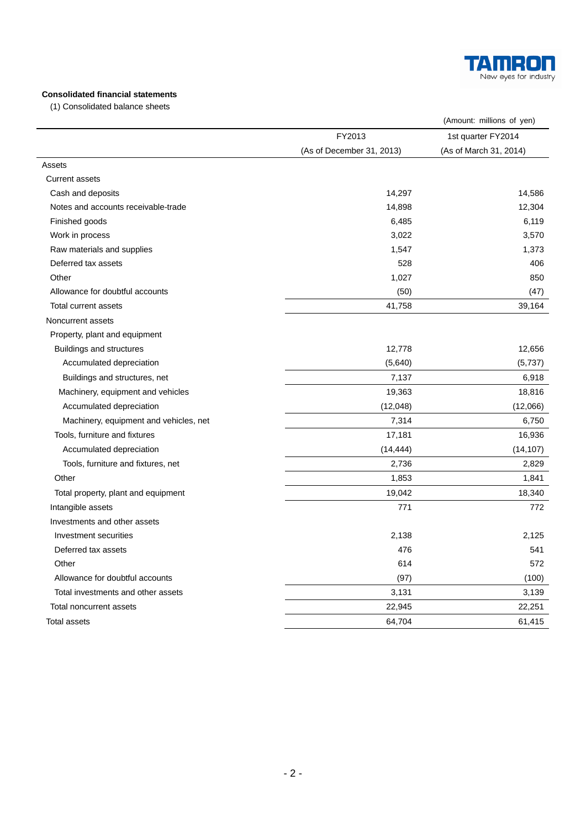

# **Consolidated financial statements**

(1) Consolidated balance sheets

|                                        |                           | (Amount: millions of yen) |
|----------------------------------------|---------------------------|---------------------------|
|                                        | FY2013                    | 1st quarter FY2014        |
|                                        | (As of December 31, 2013) | (As of March 31, 2014)    |
| Assets                                 |                           |                           |
| <b>Current assets</b>                  |                           |                           |
| Cash and deposits                      | 14,297                    | 14,586                    |
| Notes and accounts receivable-trade    | 14,898                    | 12,304                    |
| Finished goods                         | 6,485                     | 6,119                     |
| Work in process                        | 3,022                     | 3,570                     |
| Raw materials and supplies             | 1,547                     | 1,373                     |
| Deferred tax assets                    | 528                       | 406                       |
| Other                                  | 1,027                     | 850                       |
| Allowance for doubtful accounts        | (50)                      | (47)                      |
| Total current assets                   | 41,758                    | 39,164                    |
| Noncurrent assets                      |                           |                           |
| Property, plant and equipment          |                           |                           |
| <b>Buildings and structures</b>        | 12,778                    | 12,656                    |
| Accumulated depreciation               | (5,640)                   | (5,737)                   |
| Buildings and structures, net          | 7,137                     | 6,918                     |
| Machinery, equipment and vehicles      | 19,363                    | 18,816                    |
| Accumulated depreciation               | (12,048)                  | (12,066)                  |
| Machinery, equipment and vehicles, net | 7,314                     | 6,750                     |
| Tools, furniture and fixtures          | 17,181                    | 16,936                    |
| Accumulated depreciation               | (14, 444)                 | (14, 107)                 |
| Tools, furniture and fixtures, net     | 2,736                     | 2,829                     |
| Other                                  | 1,853                     | 1,841                     |
| Total property, plant and equipment    | 19,042                    | 18,340                    |
| Intangible assets                      | 771                       | 772                       |
| Investments and other assets           |                           |                           |
| Investment securities                  | 2,138                     | 2,125                     |
| Deferred tax assets                    | 476                       | 541                       |
| Other                                  | 614                       | 572                       |
| Allowance for doubtful accounts        | (97)                      | (100)                     |
| Total investments and other assets     | 3,131                     | 3,139                     |
| Total noncurrent assets                | 22,945                    | 22,251                    |
| <b>Total assets</b>                    | 64,704                    | 61,415                    |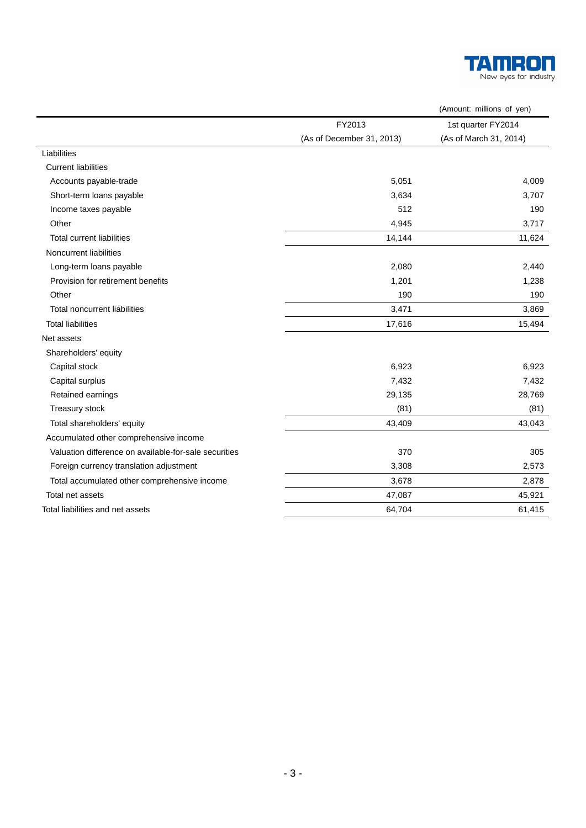

|                                                       |                           | (Amount: millions of yen) |  |
|-------------------------------------------------------|---------------------------|---------------------------|--|
|                                                       | FY2013                    | 1st quarter FY2014        |  |
|                                                       | (As of December 31, 2013) | (As of March 31, 2014)    |  |
| Liabilities                                           |                           |                           |  |
| <b>Current liabilities</b>                            |                           |                           |  |
| Accounts payable-trade                                | 5,051                     | 4,009                     |  |
| Short-term loans payable                              | 3,634                     | 3,707                     |  |
| Income taxes payable                                  | 512                       | 190                       |  |
| Other                                                 | 4,945                     | 3,717                     |  |
| <b>Total current liabilities</b>                      | 14,144                    | 11,624                    |  |
| Noncurrent liabilities                                |                           |                           |  |
| Long-term loans payable                               | 2,080                     | 2,440                     |  |
| Provision for retirement benefits                     | 1,201                     | 1,238                     |  |
| Other                                                 | 190                       | 190                       |  |
| <b>Total noncurrent liabilities</b>                   | 3,471                     | 3,869                     |  |
| <b>Total liabilities</b>                              | 17,616                    | 15,494                    |  |
| Net assets                                            |                           |                           |  |
| Shareholders' equity                                  |                           |                           |  |
| Capital stock                                         | 6,923                     | 6,923                     |  |
| Capital surplus                                       | 7,432                     | 7,432                     |  |
| Retained earnings                                     | 29,135                    | 28,769                    |  |
| Treasury stock                                        | (81)                      | (81)                      |  |
| Total shareholders' equity                            | 43,409                    | 43,043                    |  |
| Accumulated other comprehensive income                |                           |                           |  |
| Valuation difference on available-for-sale securities | 370                       | 305                       |  |
| Foreign currency translation adjustment               | 3,308                     | 2,573                     |  |
| Total accumulated other comprehensive income          | 3,678                     | 2,878                     |  |
| Total net assets                                      | 47,087                    | 45,921                    |  |
| Total liabilities and net assets                      | 64,704                    | 61,415                    |  |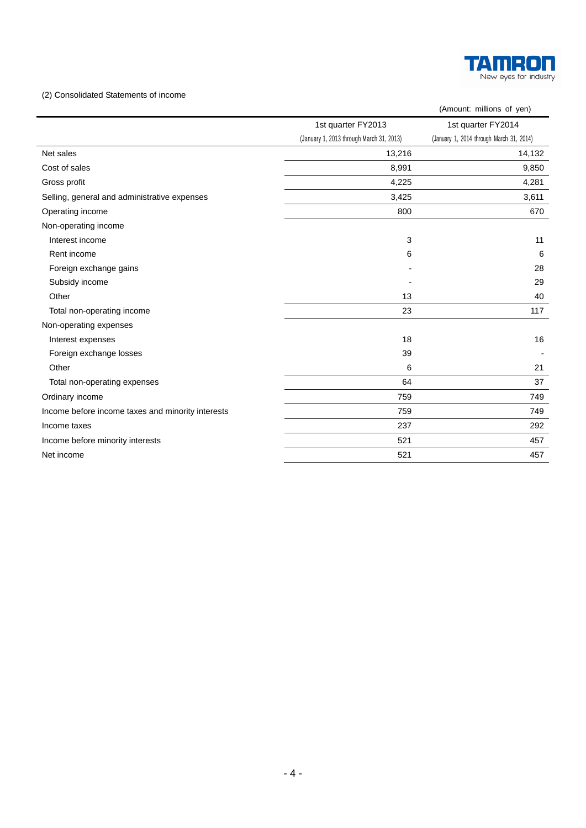

## (2) Consolidated Statements of income

|                                                   |                                          | (Amount: millions of yen)                |  |
|---------------------------------------------------|------------------------------------------|------------------------------------------|--|
|                                                   | 1st quarter FY2013                       | 1st quarter FY2014                       |  |
|                                                   | (January 1, 2013 through March 31, 2013) | (January 1, 2014 through March 31, 2014) |  |
| Net sales                                         | 13,216                                   | 14,132                                   |  |
| Cost of sales                                     | 8,991                                    | 9,850                                    |  |
| Gross profit                                      | 4,225                                    | 4,281                                    |  |
| Selling, general and administrative expenses      | 3,425                                    | 3,611                                    |  |
| Operating income                                  | 800                                      | 670                                      |  |
| Non-operating income                              |                                          |                                          |  |
| Interest income                                   | 3                                        | 11                                       |  |
| Rent income                                       | 6                                        | 6                                        |  |
| Foreign exchange gains                            |                                          | 28                                       |  |
| Subsidy income                                    |                                          | 29                                       |  |
| Other                                             | 13                                       | 40                                       |  |
| Total non-operating income                        | 23                                       | 117                                      |  |
| Non-operating expenses                            |                                          |                                          |  |
| Interest expenses                                 | 18                                       | 16                                       |  |
| Foreign exchange losses                           | 39                                       |                                          |  |
| Other                                             | 6                                        | 21                                       |  |
| Total non-operating expenses                      | 64                                       | 37                                       |  |
| Ordinary income                                   | 759                                      | 749                                      |  |
| Income before income taxes and minority interests | 759                                      | 749                                      |  |
| Income taxes                                      | 237                                      | 292                                      |  |
| Income before minority interests                  | 521                                      | 457                                      |  |
| Net income                                        | 521                                      | 457                                      |  |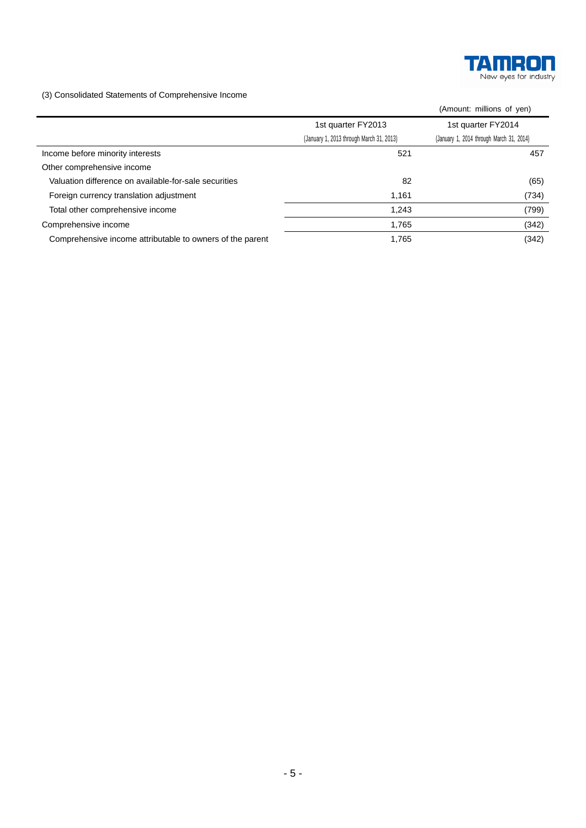

(3) Consolidated Statements of Comprehensive Income

|                                                           |                                          | (Amount: millions of yen)                |
|-----------------------------------------------------------|------------------------------------------|------------------------------------------|
|                                                           | 1st quarter FY2013                       | 1st quarter FY2014                       |
|                                                           | (January 1, 2013 through March 31, 2013) | (January 1, 2014 through March 31, 2014) |
| Income before minority interests                          | 521                                      | 457                                      |
| Other comprehensive income                                |                                          |                                          |
| Valuation difference on available-for-sale securities     | 82                                       | (65)                                     |
| Foreign currency translation adjustment                   | 1,161                                    | (734)                                    |
| Total other comprehensive income                          | 1,243                                    | (799)                                    |
| Comprehensive income                                      | 1,765                                    | (342)                                    |
| Comprehensive income attributable to owners of the parent | 1,765                                    | (342)                                    |